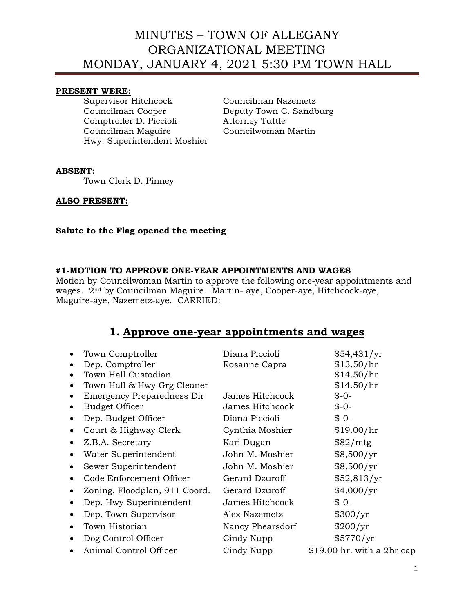### **PRESENT WERE:**

Supervisor Hitchcock Councilman Nazemetz Councilman Cooper Deputy Town C. Sandburg Comptroller D. Piccioli Attorney Tuttle Councilman Maguire Hwy. Superintendent Moshier

#### **ABSENT:**

Town Clerk D. Pinney

### **ALSO PRESENT:**

### **Salute to the Flag opened the meeting**

### **#1-MOTION TO APPROVE ONE-YEAR APPOINTMENTS AND WAGES**

Motion by Councilwoman Martin to approve the following one-year appointments and wages. 2nd by Councilman Maguire. Martin- aye, Cooper-aye, Hitchcock-aye, Maguire-aye, Nazemetz-aye. CARRIED:

## **1. Approve one-year appointments and wages**

| $\bullet$ | Town Comptroller              | Diana Piccioli   | \$54,431/yr                 |
|-----------|-------------------------------|------------------|-----------------------------|
|           | Dep. Comptroller              | Rosanne Capra    | \$13.50/hr                  |
|           | Town Hall Custodian           |                  | \$14.50/hr                  |
|           | Town Hall & Hwy Grg Cleaner   |                  | \$14.50/hr                  |
|           | Emergency Preparedness Dir    | James Hitchcock  | $$ -0-$                     |
|           | <b>Budget Officer</b>         | James Hitchcock  | $$ -0-$                     |
|           | Dep. Budget Officer           | Diana Piccioli   | $$ -0-$                     |
|           | Court & Highway Clerk         | Cynthia Moshier  | \$19.00/hr                  |
| $\bullet$ | Z.B.A. Secretary              | Kari Dugan       | \$82/mtg                    |
| $\bullet$ | Water Superintendent          | John M. Moshier  | \$8,500/yr                  |
| $\bullet$ | Sewer Superintendent          | John M. Moshier  | \$8,500/yr                  |
|           | Code Enforcement Officer      | Gerard Dzuroff   | \$52,813/yr                 |
|           | Zoning, Floodplan, 911 Coord. | Gerard Dzuroff   | \$4,000/yr                  |
|           | Dep. Hwy Superintendent       | James Hitchcock  | $$ -0-$                     |
|           | Dep. Town Supervisor          | Alex Nazemetz    | \$300/yr                    |
| $\bullet$ | Town Historian                | Nancy Phearsdorf | \$200/yr                    |
|           | Dog Control Officer           | Cindy Nupp       | \$5770/yr                   |
|           | Animal Control Officer        | Cindy Nupp       | $$19.00$ hr. with a 2hr cap |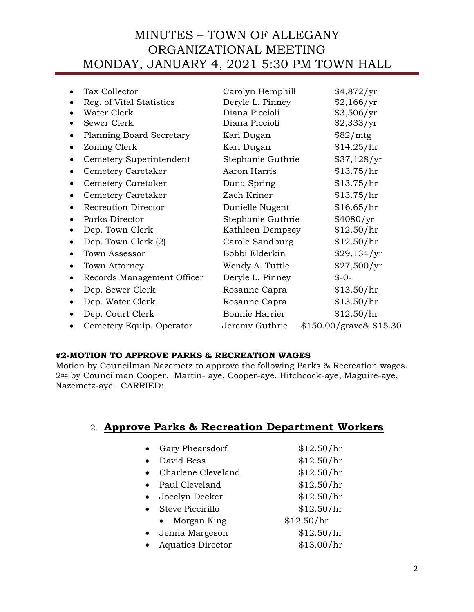| Tax Collector<br>Reg. of Vital Statistics | Carolyn Hemphill<br>Deryle L. Pinney | \$4,872/yr<br>\$2,166/yr |
|-------------------------------------------|--------------------------------------|--------------------------|
| Water Clerk                               | Diana Piccioli                       | \$3,506/yr               |
| Sewer Clerk                               | Diana Piccioli                       | \$2,333/yr               |
| Planning Board Secretary                  | Kari Dugan                           | \$82/mtg                 |
| Zoning Clerk                              | Kari Dugan                           | \$14.25/hr               |
| Cemetery Superintendent                   | Stephanie Guthrie                    | \$37,128/yr              |
| Cemetery Caretaker                        | Aaron Harris                         | \$13.75/hr               |
| Cemetery Caretaker                        | Dana Spring                          | \$13.75/hr               |
| <b>Cemetery Caretaker</b>                 | Zach Kriner                          | \$13.75/hr               |
| <b>Recreation Director</b>                | Danielle Nugent                      | \$16.65/hr               |
| Parks Director                            | Stephanie Guthrie                    | \$4080/yr                |
| Dep. Town Clerk                           | Kathleen Dempsey                     | \$12.50/hr               |
| Dep. Town Clerk (2)                       | Carole Sandburg                      | \$12.50/hr               |
| Town Assessor                             | Bobbi Elderkin                       | \$29,134/yr              |
| Town Attorney                             | Wendy A. Tuttle                      | \$27,500/yr              |
| Records Management Officer                | Deryle L. Pinney                     | $$ -0-$                  |
| Dep. Sewer Clerk                          | Rosanne Capra                        | \$13.50/hr               |
| Dep. Water Clerk                          | Rosanne Capra                        | \$13.50/hr               |
| Dep. Court Clerk                          | Bonnie Harrier                       | \$12.50/hr               |
| Cemetery Equip. Operator                  | Jeremy Guthrie                       | $$150.00/grave\& $15.30$ |
|                                           |                                      |                          |

## **#2-MOTION TO APPROVE PARKS & RECREATION WAGES**

Motion by Councilman Nazemetz to approve the following Parks & Recreation wages. 2nd by Councilman Cooper. Martin- aye, Cooper-aye, Hitchcock-aye, Maguire-aye, Nazemetz-aye. CARRIED:

## 2. **Approve Parks & Recreation Department Workers**

|           | Gary Phearsdorf          | \$12.50/hr |
|-----------|--------------------------|------------|
|           | David Bess               | \$12.50/hr |
|           | Charlene Cleveland       | \$12.50/hr |
|           | Paul Cleveland           | \$12.50/hr |
| $\bullet$ | Jocelyn Decker           | \$12.50/hr |
|           | • Steve Piccirillo       | \$12.50/hr |
|           | Morgan King<br>$\bullet$ | \$12.50/hr |
|           | Jenna Margeson           | \$12.50/hr |
|           | <b>Aquatics Director</b> | \$13.00/hr |
|           |                          |            |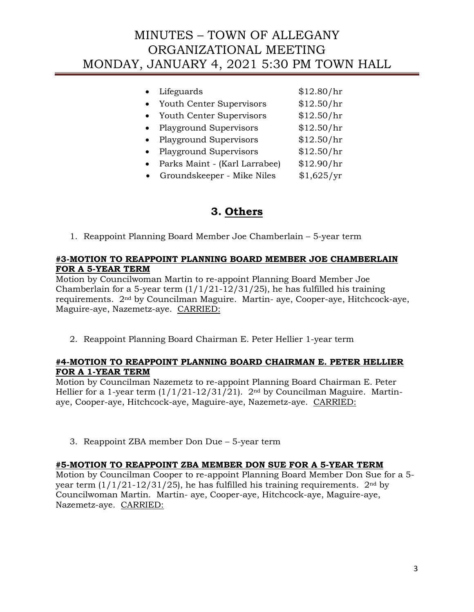|           | Lifeguards                    | \$12.80/hr |
|-----------|-------------------------------|------------|
| $\bullet$ | Youth Center Supervisors      | \$12.50/hr |
| $\bullet$ | Youth Center Supervisors      | \$12.50/hr |
| $\bullet$ | <b>Playground Supervisors</b> | \$12.50/hr |
| $\bullet$ | <b>Playground Supervisors</b> | \$12.50/hr |
|           | <b>Playground Supervisors</b> | \$12.50/hr |
| $\bullet$ | Parks Maint - (Karl Larrabee) | \$12.90/hr |
|           | Groundskeeper - Mike Niles    | \$1,625/yr |

## **3. Others**

1. Reappoint Planning Board Member Joe Chamberlain – 5-year term

## **#3-MOTION TO REAPPOINT PLANNING BOARD MEMBER JOE CHAMBERLAIN FOR A 5-YEAR TERM**

Motion by Councilwoman Martin to re-appoint Planning Board Member Joe Chamberlain for a 5-year term  $(1/1/21-12/31/25)$ , he has fulfilled his training requirements. 2nd by Councilman Maguire. Martin- aye, Cooper-aye, Hitchcock-aye, Maguire-aye, Nazemetz-aye. CARRIED:

2. Reappoint Planning Board Chairman E. Peter Hellier 1-year term

### **#4-MOTION TO REAPPOINT PLANNING BOARD CHAIRMAN E. PETER HELLIER FOR A 1-YEAR TERM**

Motion by Councilman Nazemetz to re-appoint Planning Board Chairman E. Peter Hellier for a 1-year term  $\left(\frac{1}{1/21-12/31/21}\right)$ . 2<sup>nd</sup> by Councilman Maguire. Martinaye, Cooper-aye, Hitchcock-aye, Maguire-aye, Nazemetz-aye. CARRIED:

3. Reappoint ZBA member Don Due – 5-year term

### **#5-MOTION TO REAPPOINT ZBA MEMBER DON SUE FOR A 5-YEAR TERM**

Motion by Councilman Cooper to re-appoint Planning Board Member Don Sue for a 5 year term  $(1/1/21-12/31/25)$ , he has fulfilled his training requirements.  $2<sup>nd</sup>$  by Councilwoman Martin. Martin- aye, Cooper-aye, Hitchcock-aye, Maguire-aye, Nazemetz-aye. CARRIED: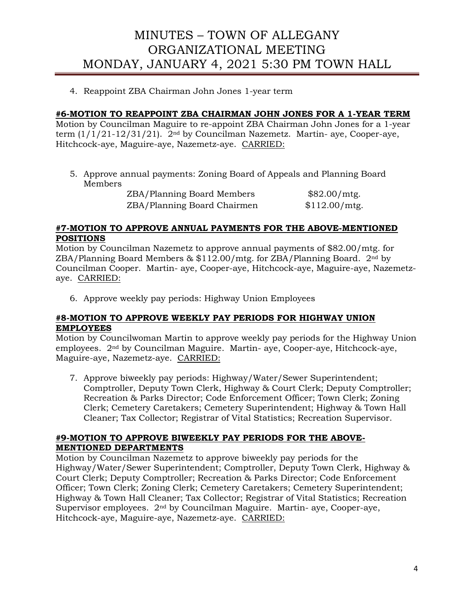4. Reappoint ZBA Chairman John Jones 1-year term

## **#6-MOTION TO REAPPOINT ZBA CHAIRMAN JOHN JONES FOR A 1-YEAR TERM**

Motion by Councilman Maguire to re-appoint ZBA Chairman John Jones for a 1-year term  $(1/1/21-12/31/21)$ .  $2<sup>nd</sup>$  by Councilman Nazemetz. Martin- aye, Cooper-aye, Hitchcock-aye, Maguire-aye, Nazemetz-aye. CARRIED:

5. Approve annual payments: Zoning Board of Appeals and Planning Board Members

ZBA/Planning Board Members \$82.00/mtg. ZBA/Planning Board Chairmen \$112.00/mtg.

### **#7-MOTION TO APPROVE ANNUAL PAYMENTS FOR THE ABOVE-MENTIONED POSITIONS**

Motion by Councilman Nazemetz to approve annual payments of \$82.00/mtg. for ZBA/Planning Board Members & \$112.00/mtg. for ZBA/Planning Board. 2nd by Councilman Cooper. Martin- aye, Cooper-aye, Hitchcock-aye, Maguire-aye, Nazemetzaye. CARRIED:

6. Approve weekly pay periods: Highway Union Employees

### **#8-MOTION TO APPROVE WEEKLY PAY PERIODS FOR HIGHWAY UNION EMPLOYEES**

Motion by Councilwoman Martin to approve weekly pay periods for the Highway Union employees. 2nd by Councilman Maguire. Martin- aye, Cooper-aye, Hitchcock-aye, Maguire-aye, Nazemetz-aye. CARRIED:

7. Approve biweekly pay periods: Highway/Water/Sewer Superintendent; Comptroller, Deputy Town Clerk, Highway & Court Clerk; Deputy Comptroller; Recreation & Parks Director; Code Enforcement Officer; Town Clerk; Zoning Clerk; Cemetery Caretakers; Cemetery Superintendent; Highway & Town Hall Cleaner; Tax Collector; Registrar of Vital Statistics; Recreation Supervisor.

#### **#9-MOTION TO APPROVE BIWEEKLY PAY PERIODS FOR THE ABOVE-MENTIONED DEPARTMENTS**

Motion by Councilman Nazemetz to approve biweekly pay periods for the Highway/Water/Sewer Superintendent; Comptroller, Deputy Town Clerk, Highway & Court Clerk; Deputy Comptroller; Recreation & Parks Director; Code Enforcement Officer; Town Clerk; Zoning Clerk; Cemetery Caretakers; Cemetery Superintendent; Highway & Town Hall Cleaner; Tax Collector; Registrar of Vital Statistics; Recreation Supervisor employees. 2nd by Councilman Maguire. Martin- aye, Cooper-aye, Hitchcock-aye, Maguire-aye, Nazemetz-aye. CARRIED: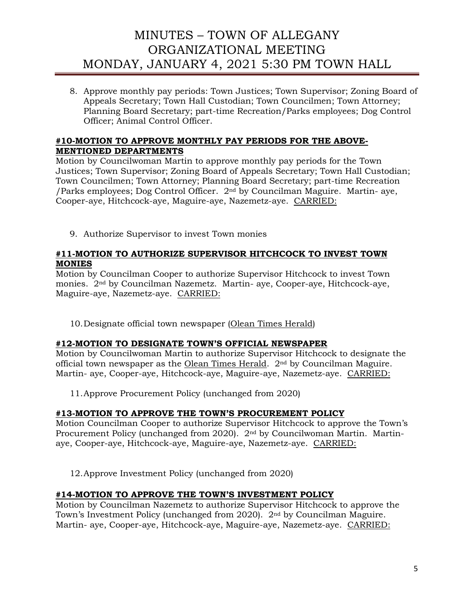8. Approve monthly pay periods: Town Justices; Town Supervisor; Zoning Board of Appeals Secretary; Town Hall Custodian; Town Councilmen; Town Attorney; Planning Board Secretary; part-time Recreation/Parks employees; Dog Control Officer; Animal Control Officer.

## **#10-MOTION TO APPROVE MONTHLY PAY PERIODS FOR THE ABOVE-MENTIONED DEPARTMENTS**

Motion by Councilwoman Martin to approve monthly pay periods for the Town Justices; Town Supervisor; Zoning Board of Appeals Secretary; Town Hall Custodian; Town Councilmen; Town Attorney; Planning Board Secretary; part-time Recreation /Parks employees; Dog Control Officer. 2nd by Councilman Maguire. Martin- aye, Cooper-aye, Hitchcock-aye, Maguire-aye, Nazemetz-aye. CARRIED:

9. Authorize Supervisor to invest Town monies

## **#11-MOTION TO AUTHORIZE SUPERVISOR HITCHCOCK TO INVEST TOWN MONIES**

Motion by Councilman Cooper to authorize Supervisor Hitchcock to invest Town monies. 2nd by Councilman Nazemetz. Martin- aye, Cooper-aye, Hitchcock-aye, Maguire-aye, Nazemetz-aye. CARRIED:

10.Designate official town newspaper (Olean Times Herald)

### **#12-MOTION TO DESIGNATE TOWN'S OFFICIAL NEWSPAPER**

Motion by Councilwoman Martin to authorize Supervisor Hitchcock to designate the official town newspaper as the Olean Times Herald. 2nd by Councilman Maguire. Martin- aye, Cooper-aye, Hitchcock-aye, Maguire-aye, Nazemetz-aye. CARRIED:

11.Approve Procurement Policy (unchanged from 2020)

## **#13-MOTION TO APPROVE THE TOWN'S PROCUREMENT POLICY**

Motion Councilman Cooper to authorize Supervisor Hitchcock to approve the Town's Procurement Policy (unchanged from 2020). 2nd by Councilwoman Martin. Martinaye, Cooper-aye, Hitchcock-aye, Maguire-aye, Nazemetz-aye. CARRIED:

12.Approve Investment Policy (unchanged from 2020)

## **#14-MOTION TO APPROVE THE TOWN'S INVESTMENT POLICY**

Motion by Councilman Nazemetz to authorize Supervisor Hitchcock to approve the Town's Investment Policy (unchanged from 2020). 2nd by Councilman Maguire. Martin- aye, Cooper-aye, Hitchcock-aye, Maguire-aye, Nazemetz-aye. CARRIED: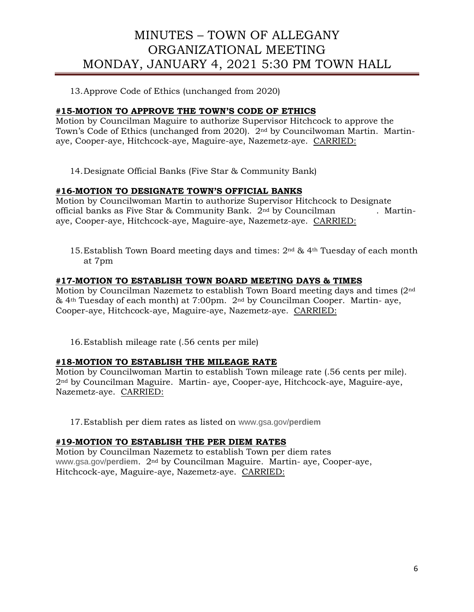13.Approve Code of Ethics (unchanged from 2020)

## **#15-MOTION TO APPROVE THE TOWN'S CODE OF ETHICS**

Motion by Councilman Maguire to authorize Supervisor Hitchcock to approve the Town's Code of Ethics (unchanged from 2020). 2nd by Councilwoman Martin. Martinaye, Cooper-aye, Hitchcock-aye, Maguire-aye, Nazemetz-aye. CARRIED:

14.Designate Official Banks (Five Star & Community Bank)

## **#16-MOTION TO DESIGNATE TOWN'S OFFICIAL BANKS**

Motion by Councilwoman Martin to authorize Supervisor Hitchcock to Designate official banks as Five Star & Community Bank. 2<sup>nd</sup> by Councilman . Martinaye, Cooper-aye, Hitchcock-aye, Maguire-aye, Nazemetz-aye. CARRIED:

15.Establish Town Board meeting days and times: 2nd & 4th Tuesday of each month at 7pm

## **#17-MOTION TO ESTABLISH TOWN BOARD MEETING DAYS & TIMES**

Motion by Councilman Nazemetz to establish Town Board meeting days and times (2nd & 4th Tuesday of each month) at 7:00pm. 2nd by Councilman Cooper. Martin- aye, Cooper-aye, Hitchcock-aye, Maguire-aye, Nazemetz-aye. CARRIED:

16.Establish mileage rate (.56 cents per mile)

### **#18-MOTION TO ESTABLISH THE MILEAGE RATE**

Motion by Councilwoman Martin to establish Town mileage rate (.56 cents per mile). 2nd by Councilman Maguire. Martin- aye, Cooper-aye, Hitchcock-aye, Maguire-aye, Nazemetz-aye. CARRIED:

17.Establish per diem rates as listed on www.gsa.gov/**perdiem**

### **#19-MOTION TO ESTABLISH THE PER DIEM RATES**

Motion by Councilman Nazemetz to establish Town per diem rates www.gsa.gov/**perdiem**. 2nd by Councilman Maguire. Martin- aye, Cooper-aye, Hitchcock-aye, Maguire-aye, Nazemetz-aye. CARRIED: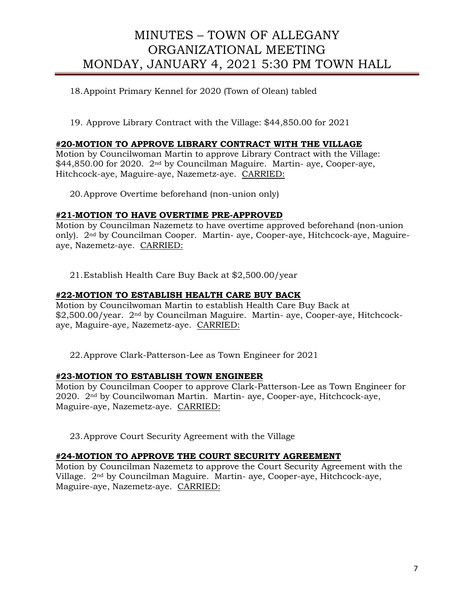## 18.Appoint Primary Kennel for 2020 (Town of Olean) tabled

19. Approve Library Contract with the Village: \$44,850.00 for 2021

### **#20-MOTION TO APPROVE LIBRARY CONTRACT WITH THE VILLAGE**

Motion by Councilwoman Martin to approve Library Contract with the Village: \$44,850.00 for 2020. 2nd by Councilman Maguire. Martin- aye, Cooper-aye, Hitchcock-aye, Maguire-aye, Nazemetz-aye. CARRIED:

20.Approve Overtime beforehand (non-union only)

#### **#21-MOTION TO HAVE OVERTIME PRE-APPROVED**

Motion by Councilman Nazemetz to have overtime approved beforehand (non-union only). 2nd by Councilman Cooper. Martin- aye, Cooper-aye, Hitchcock-aye, Maguireaye, Nazemetz-aye. CARRIED:

21.Establish Health Care Buy Back at \$2,500.00/year

### **#22-MOTION TO ESTABLISH HEALTH CARE BUY BACK**

Motion by Councilwoman Martin to establish Health Care Buy Back at \$2,500.00/year. 2<sup>nd</sup> by Councilman Maguire. Martin- aye, Cooper-aye, Hitchcockaye, Maguire-aye, Nazemetz-aye. CARRIED:

22.Approve Clark-Patterson-Lee as Town Engineer for 2021

#### **#23-MOTION TO ESTABLISH TOWN ENGINEER**

Motion by Councilman Cooper to approve Clark-Patterson-Lee as Town Engineer for 2020. 2nd by Councilwoman Martin. Martin- aye, Cooper-aye, Hitchcock-aye, Maguire-aye, Nazemetz-aye. CARRIED:

23.Approve Court Security Agreement with the Village

### **#24-MOTION TO APPROVE THE COURT SECURITY AGREEMENT**

Motion by Councilman Nazemetz to approve the Court Security Agreement with the Village. 2nd by Councilman Maguire. Martin- aye, Cooper-aye, Hitchcock-aye, Maguire-aye, Nazemetz-aye. CARRIED: